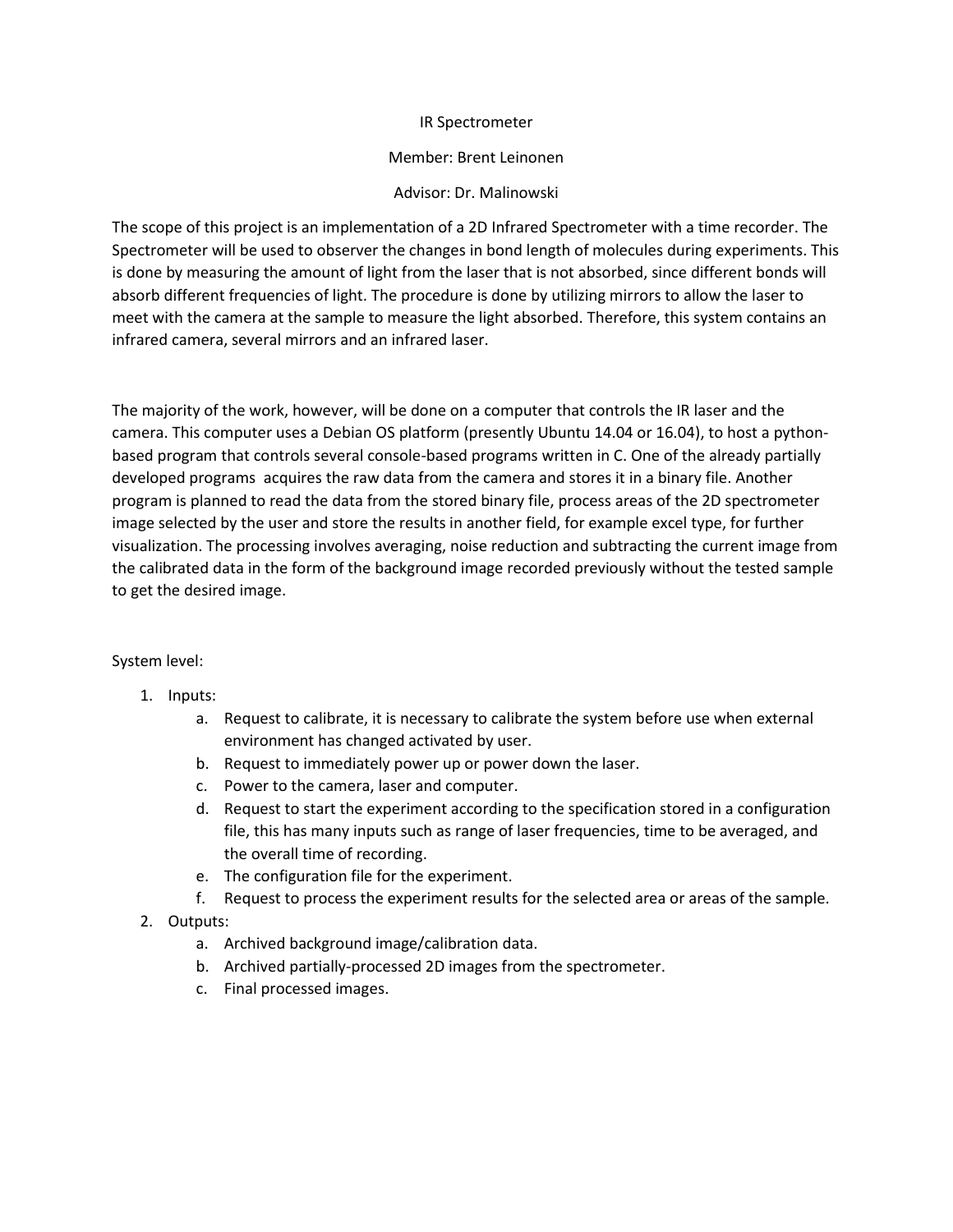### IR Spectrometer

### Member: Brent Leinonen

### Advisor: Dr. Malinowski

The scope of this project is an implementation of a 2D Infrared Spectrometer with a time recorder. The Spectrometer will be used to observer the changes in bond length of molecules during experiments. This is done by measuring the amount of light from the laser that is not absorbed, since different bonds will absorb different frequencies of light. The procedure is done by utilizing mirrors to allow the laser to meet with the camera at the sample to measure the light absorbed. Therefore, this system contains an infrared camera, several mirrors and an infrared laser.

The majority of the work, however, will be done on a computer that controls the IR laser and the camera. This computer uses a Debian OS platform (presently Ubuntu 14.04 or 16.04), to host a pythonbased program that controls several console-based programs written in C. One of the already partially developed programs acquires the raw data from the camera and stores it in a binary file. Another program is planned to read the data from the stored binary file, process areas of the 2D spectrometer image selected by the user and store the results in another field, for example excel type, for further visualization. The processing involves averaging, noise reduction and subtracting the current image from the calibrated data in the form of the background image recorded previously without the tested sample to get the desired image.

# System level:

- 1. Inputs:
	- a. Request to calibrate, it is necessary to calibrate the system before use when external environment has changed activated by user.
	- b. Request to immediately power up or power down the laser.
	- c. Power to the camera, laser and computer.
	- d. Request to start the experiment according to the specification stored in a configuration file, this has many inputs such as range of laser frequencies, time to be averaged, and the overall time of recording.
	- e. The configuration file for the experiment.
	- f. Request to process the experiment results for the selected area or areas of the sample.
- 2. Outputs:
	- a. Archived background image/calibration data.
	- b. Archived partially-processed 2D images from the spectrometer.
	- c. Final processed images.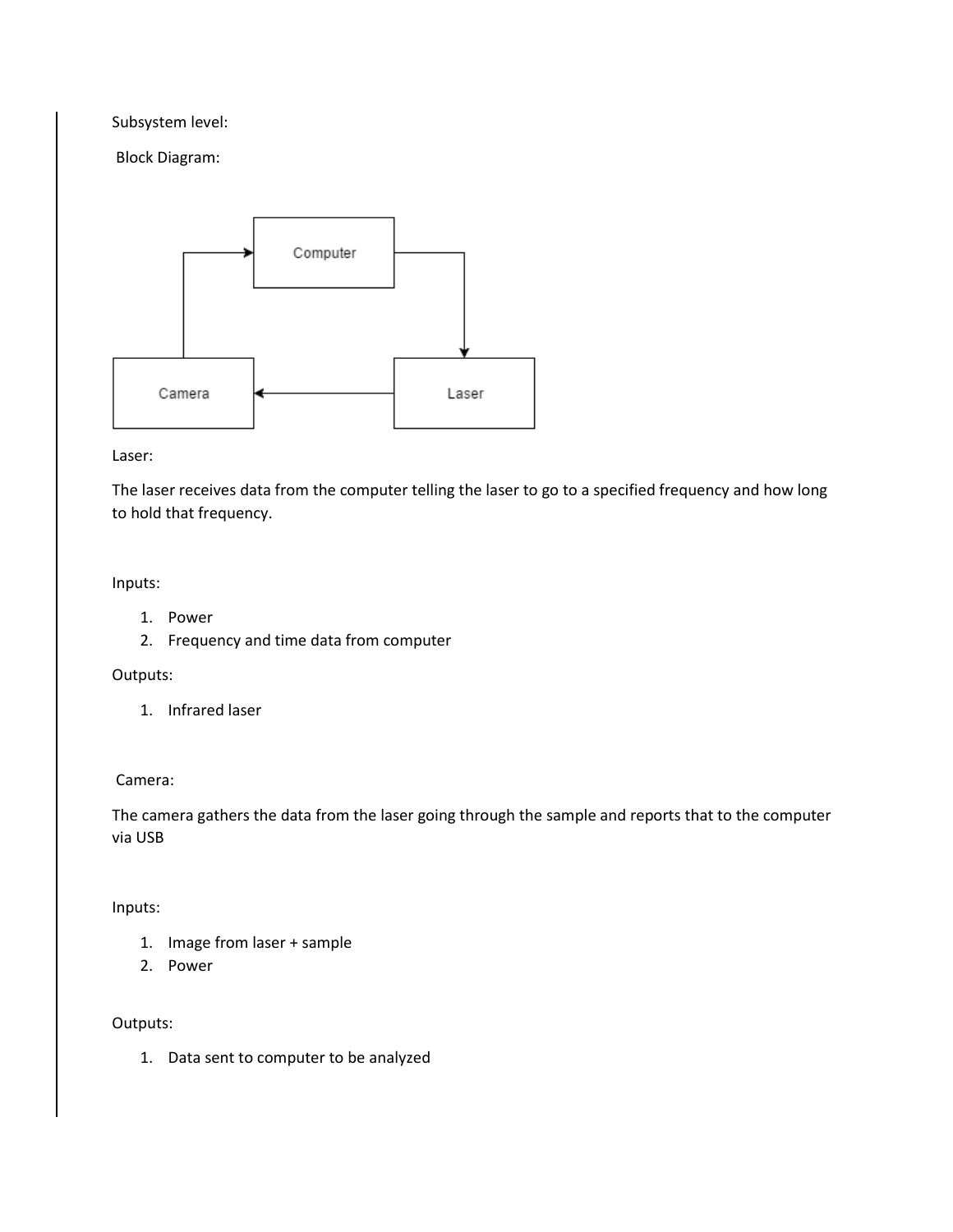Subsystem level:

Block Diagram:



Laser:

The laser receives data from the computer telling the laser to go to a specified frequency and how long to hold that frequency.

Inputs:

- 1. Power
- 2. Frequency and time data from computer

Outputs:

1. Infrared laser

Camera:

The camera gathers the data from the laser going through the sample and reports that to the computer via USB

Inputs:

- 1. Image from laser + sample
- 2. Power

Outputs:

1. Data sent to computer to be analyzed